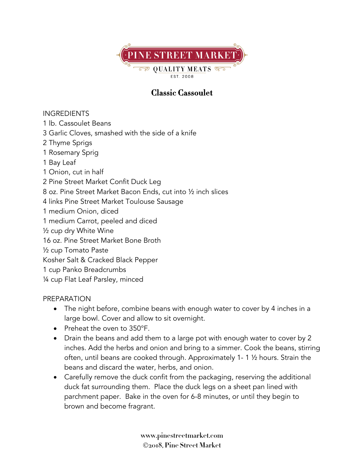

## **Classic Cassoulet**

## INGREDIENTS

- 1 lb. Cassoulet Beans
- 3 Garlic Cloves, smashed with the side of a knife
- 2 Thyme Sprigs
- 1 Rosemary Sprig
- 1 Bay Leaf
- 1 Onion, cut in half
- 2 Pine Street Market Confit Duck Leg
- 8 oz. Pine Street Market Bacon Ends, cut into ½ inch slices
- 4 links Pine Street Market Toulouse Sausage
- 1 medium Onion, diced
- 1 medium Carrot, peeled and diced
- ½ cup dry White Wine
- 16 oz. Pine Street Market Bone Broth
- ½ cup Tomato Paste
- Kosher Salt & Cracked Black Pepper
- 1 cup Panko Breadcrumbs
- ¼ cup Flat Leaf Parsley, minced

## PREPARATION

- The night before, combine beans with enough water to cover by 4 inches in a large bowl. Cover and allow to sit overnight.
- Preheat the oven to 350°F.
- Drain the beans and add them to a large pot with enough water to cover by 2 inches. Add the herbs and onion and bring to a simmer. Cook the beans, stirring often, until beans are cooked through. Approximately 1- 1 ½ hours. Strain the beans and discard the water, herbs, and onion.
- Carefully remove the duck confit from the packaging, reserving the additional duck fat surrounding them. Place the duck legs on a sheet pan lined with parchment paper. Bake in the oven for 6-8 minutes, or until they begin to brown and become fragrant.

**www.pinestreetmarket.com** Ó**2018, Pine Street Market**